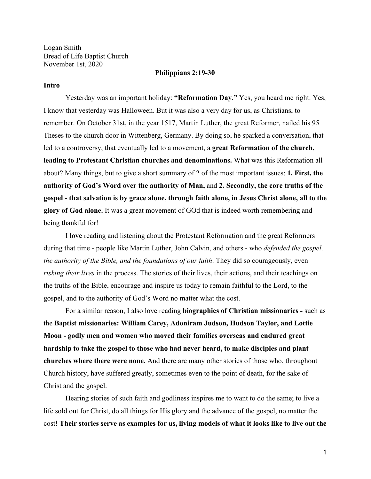Logan Smith Bread of Life Baptist Church November 1st, 2020

### **Philippians 2:19-30**

### **Intro**

Yesterday was an important holiday: **"Reformation Day."** Yes, you heard me right. Yes, I know that yesterday was Halloween. But it was also a very day for us, as Christians, to remember. On October 31st, in the year 1517, Martin Luther, the great Reformer, nailed his 95 Theses to the church door in Wittenberg, Germany. By doing so, he sparked a conversation, that led to a controversy, that eventually led to a movement, a **great Reformation of the church, leading to Protestant Christian churches and denominations.** What was this Reformation all about? Many things, but to give a short summary of 2 of the most important issues: **1. First, the authority of God's Word over the authority of Man,** and **2. Secondly, the core truths of the gospel - that salvation is by grace alone, through faith alone, in Jesus Christ alone, all to the glory of God alone.** It was a great movement of GOd that is indeed worth remembering and being thankful for!

I **love** reading and listening about the Protestant Reformation and the great Reformers during that time - people like Martin Luther, John Calvin, and others - who *defended the gospel, the authority of the Bible, and the foundations of our faith*. They did so courageously, even *risking their lives* in the process. The stories of their lives, their actions, and their teachings on the truths of the Bible, encourage and inspire us today to remain faithful to the Lord, to the gospel, and to the authority of God's Word no matter what the cost.

For a similar reason, I also love reading **biographies of Christian missionaries -** such as the **Baptist missionaries: William Carey, Adoniram Judson, Hudson Taylor, and Lottie Moon - godly men and women who moved their families overseas and endured great hardship to take the gospel to those who had never heard, to make disciples and plant churches where there were none.** And there are many other stories of those who, throughout Church history, have suffered greatly, sometimes even to the point of death, for the sake of Christ and the gospel.

Hearing stories of such faith and godliness inspires me to want to do the same; to live a life sold out for Christ, do all things for His glory and the advance of the gospel, no matter the cost! **Their stories serve as examples for us, living models of what it looks like to live out the**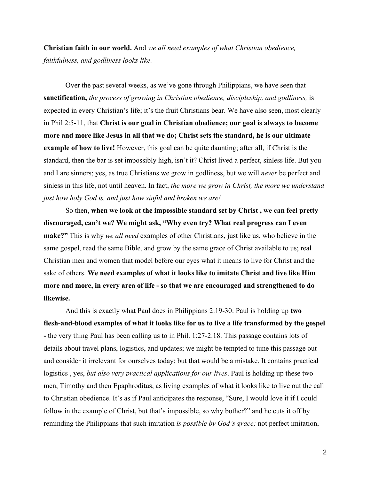**Christian faith in our world.** And *we all need examples of what Christian obedience, faithfulness, and godliness looks like.*

Over the past several weeks, as we've gone through Philippians, we have seen that **sanctification,** *the process of growing in Christian obedience, discipleship, and godliness,* is expected in every Christian's life; it's the fruit Christians bear. We have also seen, most clearly in Phil 2:5-11, that **Christ is our goal in Christian obedience; our goal is always to become more and more like Jesus in all that we do; Christ sets the standard, he is our ultimate example of how to live!** However, this goal can be quite daunting; after all, if Christ is the standard, then the bar is set impossibly high, isn't it? Christ lived a perfect, sinless life. But you and I are sinners; yes, as true Christians we grow in godliness, but we will *never* be perfect and sinless in this life, not until heaven. In fact, *the more we grow in Christ, the more we understand just how holy God is, and just how sinful and broken we are!*

So then, **when we look at the impossible standard set by Christ , we can feel pretty discouraged, can't we? We might ask, "Why even try? What real progress can I even make?"** This is why *we all need* examples of other Christians, just like us, who believe in the same gospel, read the same Bible, and grow by the same grace of Christ available to us; real Christian men and women that model before our eyes what it means to live for Christ and the sake of others. **We need examples of what it looks like to imitate Christ and live like Him more and more, in every area of life - so that we are encouraged and strengthened to do likewise.**

And this is exactly what Paul does in Philippians 2:19-30: Paul is holding up **two flesh-and-blood examples of what it looks like for us to live a life transformed by the gospel -** the very thing Paul has been calling us to in Phil. 1:27-2:18. This passage contains lots of details about travel plans, logistics, and updates; we might be tempted to tune this passage out and consider it irrelevant for ourselves today; but that would be a mistake. It contains practical logistics , yes, *but also very practical applications for our lives*. Paul is holding up these two men, Timothy and then Epaphroditus, as living examples of what it looks like to live out the call to Christian obedience. It's as if Paul anticipates the response, "Sure, I would love it if I could follow in the example of Christ, but that's impossible, so why bother?" and he cuts it off by reminding the Philippians that such imitation *is possible by God's grace;* not perfect imitation,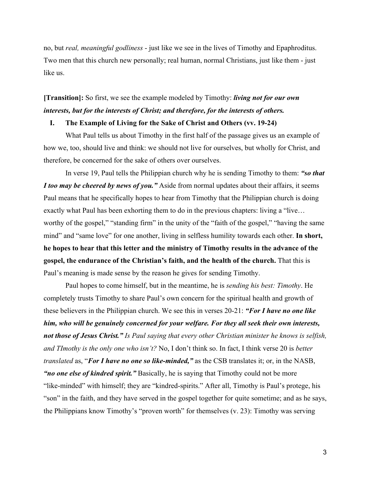no, but *real, meaningful godliness* - just like we see in the lives of Timothy and Epaphroditus. Two men that this church new personally; real human, normal Christians, just like them - just like us.

**[Transition]:** So first, we see the example modeled by Timothy: *living not for our own interests, but for the interests of Christ; and therefore, for the interests of others.*

# **I. The Example of Living for the Sake of Christ and Others (vv. 19-24)**

What Paul tells us about Timothy in the first half of the passage gives us an example of how we, too, should live and think: we should not live for ourselves, but wholly for Christ, and therefore, be concerned for the sake of others over ourselves.

In verse 19, Paul tells the Philippian church why he is sending Timothy to them: *"so that I too may be cheered by news of you."* Aside from normal updates about their affairs, it seems Paul means that he specifically hopes to hear from Timothy that the Philippian church is doing exactly what Paul has been exhorting them to do in the previous chapters: living a "live… worthy of the gospel," "standing firm" in the unity of the "faith of the gospel," "having the same mind" and "same love" for one another, living in selfless humility towards each other. **In short, he hopes to hear that this letter and the ministry of Timothy results in the advance of the gospel, the endurance of the Christian's faith, and the health of the church.** That this is Paul's meaning is made sense by the reason he gives for sending Timothy.

Paul hopes to come himself, but in the meantime, he is *sending his best: Timothy*. He completely trusts Timothy to share Paul's own concern for the spiritual health and growth of these believers in the Philippian church. We see this in verses 20-21: *"For I have no one like him, who will be genuinely concerned for your welfare. For they all seek their own interests, not those of Jesus Christ." Is Paul saying that every other Christian minister he knows is selfish, and TImothy is the only one who isn't?* No, I don't think so. In fact, I think verse 20 is *better translated* as, "*For I have no one so like-minded,"* as the CSB translates it; or, in the NASB, *"no one else of kindred spirit."* Basically, he is saying that Timothy could not be more "like-minded" with himself; they are "kindred-spirits." After all, Timothy is Paul's protege, his "son" in the faith, and they have served in the gospel together for quite sometime; and as he says, the Philippians know Timothy's "proven worth" for themselves (v. 23): Timothy was serving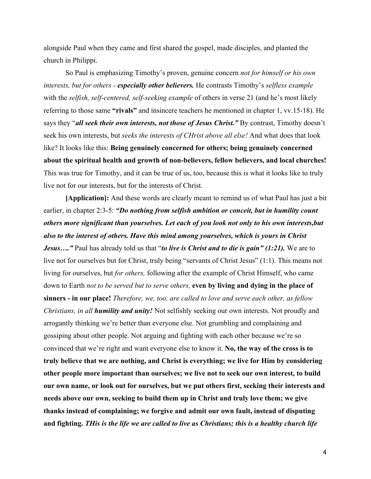alongside Paul when they came and first shared the gospel, made disciples, and planted the church in Philippi.

So Paul is emphasizing Timothy's proven, genuine concern *not for himself or his own interests, but for others - especially other believers.* He contrasts Timothy's *selfless example* with the *selfish, self-centered, self-seeking example* of others in verse 21 (and he's most likely referring to those same **"rivals"** and insincere teachers he mentioned in chapter 1, vv.15-18). He says they "*all seek their own interests, not those of Jesus Christ.*" By contrast, Timothy doesn't seek his own interests, but *seeks the interests of CHrist above all else!* And what does that look like? It looks like this: **Being genuinely concerned for others; being genuinely concerned about the spiritual health and growth of non-believers, fellow believers, and local churches!** This was true for Timothy, and it can be true of us, too, because this is what it looks like to truly live not for our interests, but for the interests of Christ.

**[Application]:** And these words are clearly meant to remind us of what Paul has just a bit earlier, in chapter 2:3-5: *"Do nothing from selfish ambition or conceit, but in humility count others more significant than yourselves. Let each of you look not only to his own interests,but also to the interest of others. Have this mind among yourselves, which is yours in Christ Jesus…."* Paul has already told us that "*to live is Christ and to die is gain" (1:21).* We are to live not for ourselves but for Christ, truly being "servants of Christ Jesus" (1:1). This means not living for ourselves, but *for others,* following after the example of Christ Himself, who came down to Earth *not to be served but to serve others,* **even by living and dying in the place of sinners - in our place!** *Therefore, we, too, are called to love and serve each other, as fellow Christians, in all humility and unity!* Not selfishly seeking our own interests. Not proudly and arrogantly thinking we're better than everyone else. Not grumbling and complaining and gossiping about other people. Not arguing and fighting with each other because we're so convinced that we're right and want everyone else to know it. **No, the way of the cross is to truly believe that we are nothing, and Christ is everything; we live for Him by considering other people more important than ourselves; we live not to seek our own interest, to build our own name, or look out for ourselves, but we put others first, seeking their interests and needs above our own, seeking to build them up in Christ and truly love them; we give thanks instead of complaining; we forgive and admit our own fault, instead of disputing and fighting.** *THis is the life we are called to live as Christians; this is a healthy church life*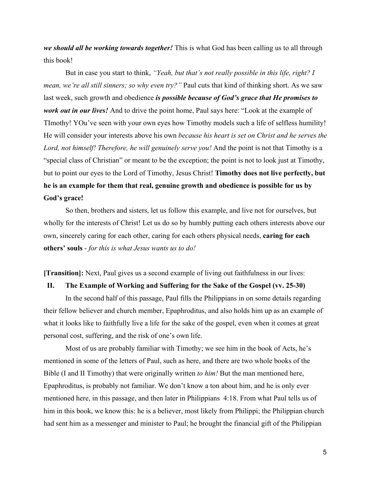*we should all be working towards together!* This is what God has been calling us to all through this book!

But in case you start to think, *"Yeah, but that's not really possible in this life, right? I mean, we're all still sinners; so why even try?*" Paul cuts that kind of thinking short. As we saw last week, such growth and obedience *is possible because of God's grace that He promises to work out in our lives!* And to drive the point home, Paul says here: "Look at the example of TImothy! YOu've seen with your own eyes how Timothy models such a life of selfless humility! He will consider your interests above his own *because his heart is set on Christ and he serves the* Lord, not himself! Therefore, he will genuinely serve you! And the point is not that Timothy is a "special class of Christian" or meant to be the exception; the point is not to look just at Timothy, but to point our eyes to the Lord of Timothy, Jesus Christ! **Timothy does not live perfectly, but he is an example for them that real, genuine growth and obedience is possible for us by God's grace!**

So then, brothers and sisters, let us follow this example, and live not for ourselves, but wholly for the interests of Christ! Let us do so by humbly putting each others interests above our own, sincerely caring for each other, caring for each others physical needs, **caring for each others' souls** - *for this is what Jesus wants us to do!*

**[Transition]:** Next, Paul gives us a second example of living out faithfulness in our lives:

## **II. The Example of Working and Suffering for the Sake of the Gospel (vv. 25-30)**

In the second half of this passage, Paul fills the Philippians in on some details regarding their fellow believer and church member, Epaphroditus, and also holds him up as an example of what it looks like to faithfully live a life for the sake of the gospel, even when it comes at great personal cost, suffering, and the risk of one's own life.

Most of us are probably familiar with Timothy; we see him in the book of Acts, he's mentioned in some of the letters of Paul, such as here, and there are two whole books of the Bible (I and II Timothy) that were originally written *to him!* But the man mentioned here, Epaphroditus, is probably not familiar. We don't know a ton about him, and he is only ever mentioned here, in this passage, and then later in Philippians 4:18. From what Paul tells us of him in this book, we know this: he is a believer, most likely from Philippi; the Philippian church had sent him as a messenger and minister to Paul; he brought the financial gift of the Philippian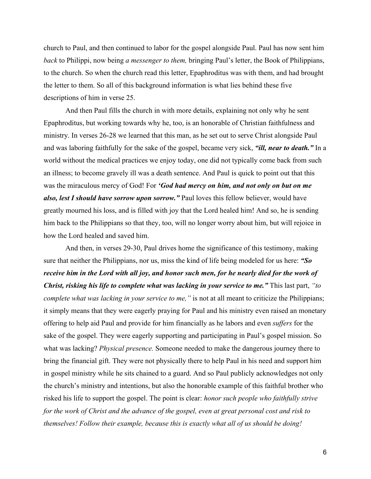church to Paul, and then continued to labor for the gospel alongside Paul. Paul has now sent him *back* to Philippi, now being *a messenger to them,* bringing Paul's letter, the Book of Philippians, to the church. So when the church read this letter, Epaphroditus was with them, and had brought the letter to them. So all of this background information is what lies behind these five descriptions of him in verse 25.

And then Paul fills the church in with more details, explaining not only why he sent Epaphroditus, but working towards why he, too, is an honorable of Christian faithfulness and ministry. In verses 26-28 we learned that this man, as he set out to serve Christ alongside Paul and was laboring faithfully for the sake of the gospel, became very sick, *"ill, near to death."* In a world without the medical practices we enjoy today, one did not typically come back from such an illness; to become gravely ill was a death sentence. And Paul is quick to point out that this was the miraculous mercy of God! For *'God had mercy on him, and not only on but on me also, lest I should have sorrow upon sorrow."* Paul loves this fellow believer, would have greatly mourned his loss, and is filled with joy that the Lord healed him! And so, he is sending him back to the Philippians so that they, too, will no longer worry about him, but will rejoice in how the Lord healed and saved him.

And then, in verses 29-30, Paul drives home the significance of this testimony, making sure that neither the Philippians, nor us, miss the kind of life being modeled for us here: *"So receive him in the Lord with all joy, and honor such men, for he nearly died for the work of Christ, risking his life to complete what was lacking in your service to me."* This last part, *"to complete what was lacking in your service to me,*" is not at all meant to criticize the Philippians; it simply means that they were eagerly praying for Paul and his ministry even raised an monetary offering to help aid Paul and provide for him financially as he labors and even *suffers* for the sake of the gospel. They were eagerly supporting and participating in Paul's gospel mission. So what was lacking? *Physical presence.* Someone needed to make the dangerous journey there to bring the financial gift. They were not physically there to help Paul in his need and support him in gospel ministry while he sits chained to a guard. And so Paul publicly acknowledges not only the church's ministry and intentions, but also the honorable example of this faithful brother who risked his life to support the gospel. The point is clear: *honor such people who faithfully strive for the work of Christ and the advance of the gospel, even at great personal cost and risk to themselves! Follow their example, because this is exactly what all of us should be doing!*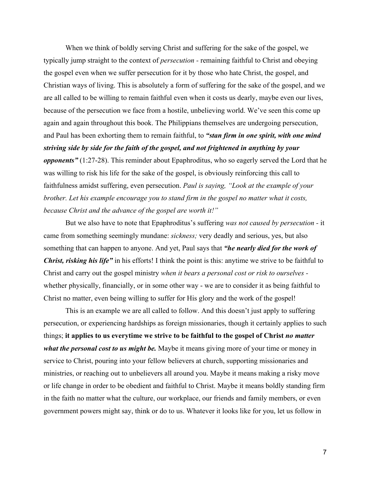When we think of boldly serving Christ and suffering for the sake of the gospel, we typically jump straight to the context of *persecution -* remaining faithful to Christ and obeying the gospel even when we suffer persecution for it by those who hate Christ, the gospel, and Christian ways of living. This is absolutely a form of suffering for the sake of the gospel, and we are all called to be willing to remain faithful even when it costs us dearly, maybe even our lives, because of the persecution we face from a hostile, unbelieving world. We've seen this come up again and again throughout this book. The Philippians themselves are undergoing persecution, and Paul has been exhorting them to remain faithful, to *"stan firm in one spirit, with one mind striving side by side for the faith of the gospel, and not frightened in anything by your opponents"* (1:27-28). This reminder about Epaphroditus, who so eagerly served the Lord that he was willing to risk his life for the sake of the gospel, is obviously reinforcing this call to faithfulness amidst suffering, even persecution. *Paul is saying, "Look at the example of your brother. Let his example encourage you to stand firm in the gospel no matter what it costs, because Christ and the advance of the gospel are worth it!"*

But we also have to note that Epaphroditus's suffering *was not caused by persecution -* it came from something seemingly mundane: *sickness;* very deadly and serious, yes, but also something that can happen to anyone. And yet, Paul says that *"he nearly died for the work of Christ, risking his life"* in his efforts! I think the point is this: anytime we strive to be faithful to Christ and carry out the gospel ministry *when it bears a personal cost or risk to ourselves*  whether physically, financially, or in some other way - we are to consider it as being faithful to Christ no matter, even being willing to suffer for His glory and the work of the gospel!

This is an example we are all called to follow. And this doesn't just apply to suffering persecution, or experiencing hardships as foreign missionaries, though it certainly applies to such things; **it applies to us everytime we strive to be faithful to the gospel of Christ** *no matter what the personal cost to us might be.* Maybe it means giving more of your time or money in service to Christ, pouring into your fellow believers at church, supporting missionaries and ministries, or reaching out to unbelievers all around you. Maybe it means making a risky move or life change in order to be obedient and faithful to Christ. Maybe it means boldly standing firm in the faith no matter what the culture, our workplace, our friends and family members, or even government powers might say, think or do to us. Whatever it looks like for you, let us follow in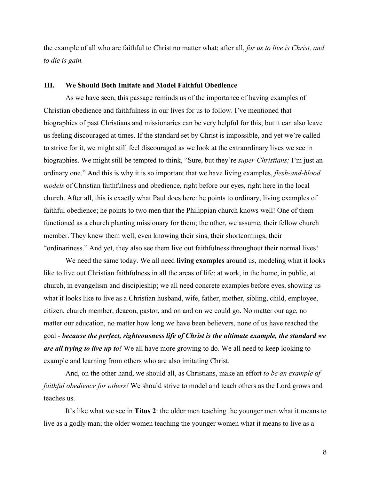the example of all who are faithful to Christ no matter what; after all, *for us to live is Christ, and to die is gain.*

### **III. We Should Both Imitate and Model Faithful Obedience**

As we have seen, this passage reminds us of the importance of having examples of Christian obedience and faithfulness in our lives for us to follow. I've mentioned that biographies of past Christians and missionaries can be very helpful for this; but it can also leave us feeling discouraged at times. If the standard set by Christ is impossible, and yet we're called to strive for it, we might still feel discouraged as we look at the extraordinary lives we see in biographies. We might still be tempted to think, "Sure, but they're *super-Christians;* I'm just an ordinary one." And this is why it is so important that we have living examples, *flesh-and-blood models* of Christian faithfulness and obedience, right before our eyes, right here in the local church. After all, this is exactly what Paul does here: he points to ordinary, living examples of faithful obedience; he points to two men that the Philippian church knows well! One of them functioned as a church planting missionary for them; the other, we assume, their fellow church member. They knew them well, even knowing their sins, their shortcomings, their "ordinariness." And yet, they also see them live out faithfulness throughout their normal lives!

We need the same today. We all need **living examples** around us, modeling what it looks like to live out Christian faithfulness in all the areas of life: at work, in the home, in public, at church, in evangelism and discipleship; we all need concrete examples before eyes, showing us what it looks like to live as a Christian husband, wife, father, mother, sibling, child, employee, citizen, church member, deacon, pastor, and on and on we could go. No matter our age, no matter our education, no matter how long we have been believers, none of us have reached the goal - *because the perfect, righteousness life of Christ is the ultimate example, the standard we are all trying to live up to!* We all have more growing to do. We all need to keep looking to example and learning from others who are also imitating Christ.

And, on the other hand, we should all, as Christians, make an effort *to be an example of faithful obedience for others!* We should strive to model and teach others as the Lord grows and teaches us.

It's like what we see in **Titus 2**: the older men teaching the younger men what it means to live as a godly man; the older women teaching the younger women what it means to live as a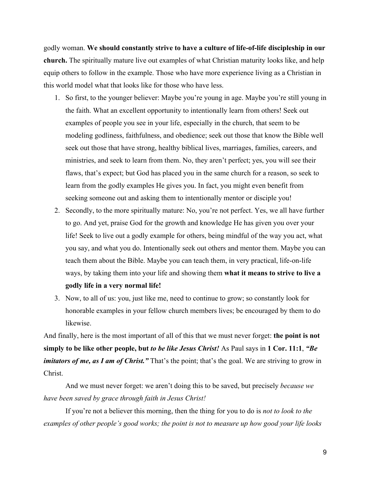godly woman. **We should constantly strive to have a culture of life-of-life discipleship in our church.** The spiritually mature live out examples of what Christian maturity looks like, and help equip others to follow in the example. Those who have more experience living as a Christian in this world model what that looks like for those who have less.

- 1. So first, to the younger believer: Maybe you're young in age. Maybe you're still young in the faith. What an excellent opportunity to intentionally learn from others! Seek out examples of people you see in your life, especially in the church, that seem to be modeling godliness, faithfulness, and obedience; seek out those that know the Bible well seek out those that have strong, healthy biblical lives, marriages, families, careers, and ministries, and seek to learn from them. No, they aren't perfect; yes, you will see their flaws, that's expect; but God has placed you in the same church for a reason, so seek to learn from the godly examples He gives you. In fact, you might even benefit from seeking someone out and asking them to intentionally mentor or disciple you!
- 2. Secondly, to the more spiritually mature: No, you're not perfect. Yes, we all have further to go. And yet, praise God for the growth and knowledge He has given you over your life! Seek to live out a godly example for others, being mindful of the way you act, what you say, and what you do. Intentionally seek out others and mentor them. Maybe you can teach them about the Bible. Maybe you can teach them, in very practical, life-on-life ways, by taking them into your life and showing them **what it means to strive to live a godly life in a very normal life!**
- 3. Now, to all of us: you, just like me, need to continue to grow; so constantly look for honorable examples in your fellow church members lives; be encouraged by them to do likewise.

And finally, here is the most important of all of this that we must never forget: **the point is not simply to be like other people, but** *to be like Jesus Christ!* As Paul says in **1 Cor. 11:1**, *"Be imitators of me, as I am of Christ.*" That's the point; that's the goal. We are striving to grow in Christ.

And we must never forget: we aren't doing this to be saved, but precisely *because we have been saved by grace through faith in Jesus Christ!*

If you're not a believer this morning, then the thing for you to do is *not to look to the examples of other people's good works; the point is not to measure up how good your life looks*